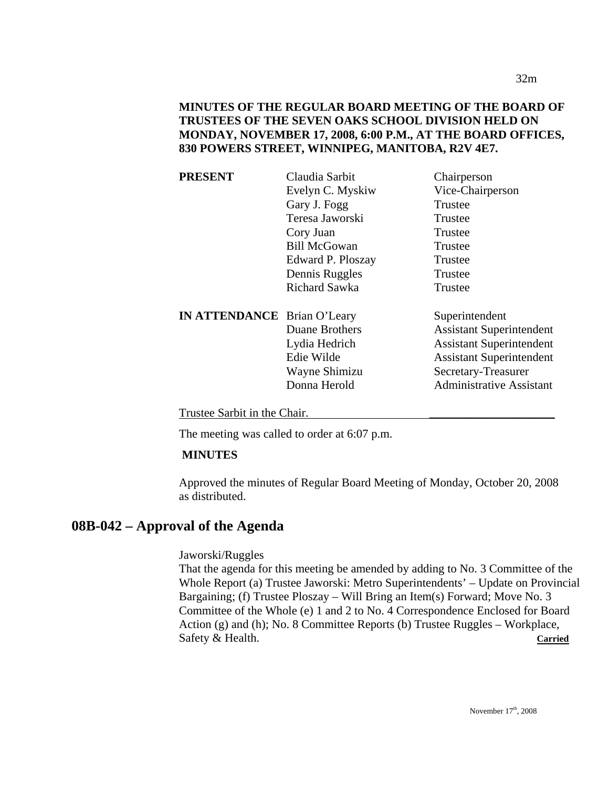| PRESENT                            | Claudia Sarbit       | Chairperson                     |
|------------------------------------|----------------------|---------------------------------|
|                                    | Evelyn C. Myskiw     | Vice-Chairperson                |
|                                    | Gary J. Fogg         | Trustee                         |
|                                    | Teresa Jaworski      | Trustee                         |
|                                    | Cory Juan            | Trustee                         |
|                                    | <b>Bill McGowan</b>  | Trustee                         |
|                                    | Edward P. Ploszay    | Trustee                         |
|                                    | Dennis Ruggles       | Trustee                         |
|                                    | <b>Richard Sawka</b> | Trustee                         |
| <b>IN ATTENDANCE</b> Brian O'Leary |                      | Superintendent                  |
|                                    | Duane Brothers       | <b>Assistant Superintendent</b> |
|                                    | Lydia Hedrich        | <b>Assistant Superintendent</b> |
|                                    | Edie Wilde           | <b>Assistant Superintendent</b> |
|                                    | Wayne Shimizu        | Secretary-Treasurer             |
|                                    | Donna Herold         | <b>Administrative Assistant</b> |
|                                    |                      |                                 |
|                                    |                      |                                 |

Trustee Sarbit in the Chair.

The meeting was called to order at 6:07 p.m.

#### **MINUTES**

Approved the minutes of Regular Board Meeting of Monday, October 20, 2008 as distributed.

# **08B-042 – Approval of the Agenda**

Jaworski/Ruggles

That the agenda for this meeting be amended by adding to No. 3 Committee of the Whole Report (a) Trustee Jaworski: Metro Superintendents' – Update on Provincial Bargaining; (f) Trustee Ploszay – Will Bring an Item(s) Forward; Move No. 3 Committee of the Whole (e) 1 and 2 to No. 4 Correspondence Enclosed for Board Action (g) and (h); No. 8 Committee Reports (b) Trustee Ruggles – Workplace, Safety & Health. **Carried**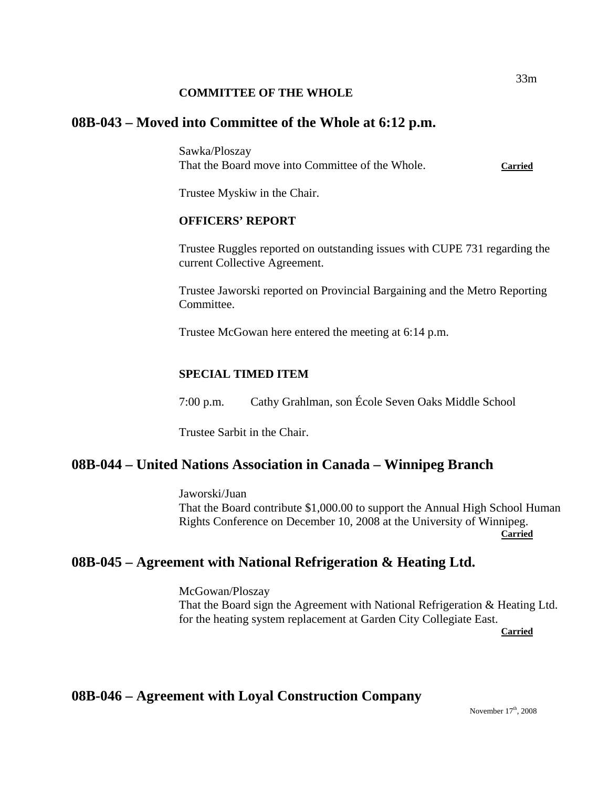### **COMMITTEE OF THE WHOLE**

# **08B-043 – Moved into Committee of the Whole at 6:12 p.m.**

Sawka/Ploszay That the Board move into Committee of the Whole. **Carried**

Trustee Myskiw in the Chair.

## **OFFICERS' REPORT**

Trustee Ruggles reported on outstanding issues with CUPE 731 regarding the current Collective Agreement.

Trustee Jaworski reported on Provincial Bargaining and the Metro Reporting Committee.

Trustee McGowan here entered the meeting at 6:14 p.m.

## **SPECIAL TIMED ITEM**

7:00 p.m. Cathy Grahlman, son École Seven Oaks Middle School

Trustee Sarbit in the Chair.

# **08B-044 – United Nations Association in Canada – Winnipeg Branch**

Jaworski/Juan That the Board contribute \$1,000.00 to support the Annual High School Human Rights Conference on December 10, 2008 at the University of Winnipeg. **Carried** 

# **08B-045 – Agreement with National Refrigeration & Heating Ltd.**

McGowan/Ploszay That the Board sign the Agreement with National Refrigeration & Heating Ltd. for the heating system replacement at Garden City Collegiate East. **Carried** 

# **08B-046 – Agreement with Loyal Construction Company**

November 17<sup>th</sup>, 2008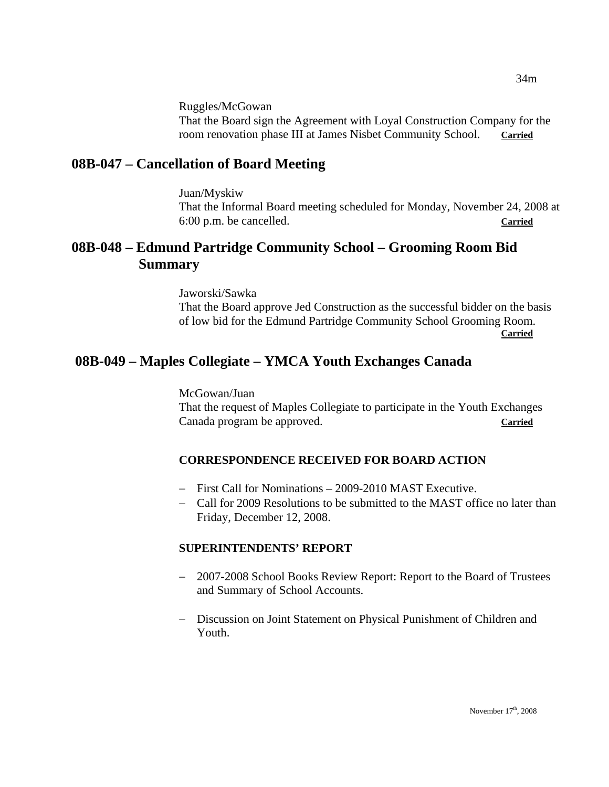Ruggles/McGowan

That the Board sign the Agreement with Loyal Construction Company for the room renovation phase III at James Nisbet Community School. **Carried**

# **08B-047 – Cancellation of Board Meeting**

Juan/Myskiw That the Informal Board meeting scheduled for Monday, November 24, 2008 at 6:00 p.m. be cancelled. **Carried**

# **08B-048 – Edmund Partridge Community School – Grooming Room Bid Summary**

Jaworski/Sawka That the Board approve Jed Construction as the successful bidder on the basis of low bid for the Edmund Partridge Community School Grooming Room. **Carried**

# **08B-049 – Maples Collegiate – YMCA Youth Exchanges Canada**

McGowan/Juan That the request of Maples Collegiate to participate in the Youth Exchanges Canada program be approved. **Carried**

# **CORRESPONDENCE RECEIVED FOR BOARD ACTION**

- − First Call for Nominations 2009-2010 MAST Executive.
- − Call for 2009 Resolutions to be submitted to the MAST office no later than Friday, December 12, 2008.

## **SUPERINTENDENTS' REPORT**

- − 2007-2008 School Books Review Report: Report to the Board of Trustees and Summary of School Accounts.
- − Discussion on Joint Statement on Physical Punishment of Children and Youth.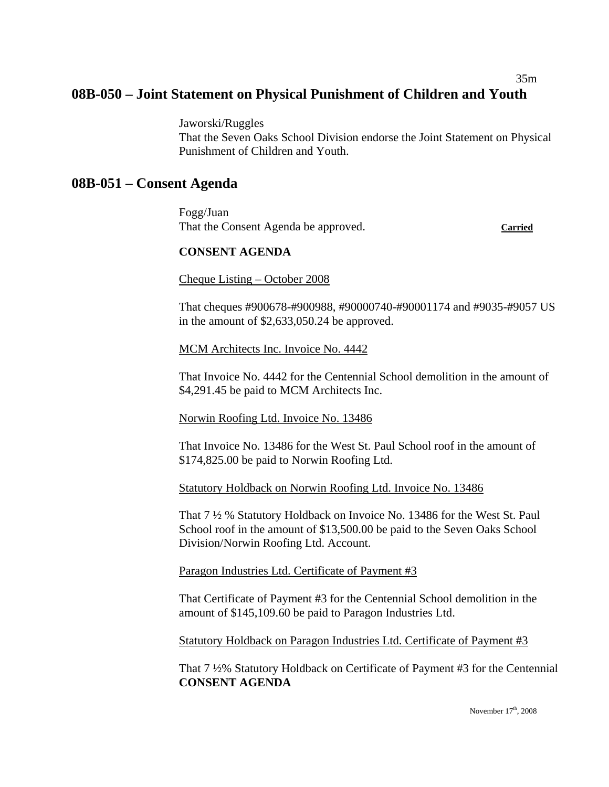# 35m **08B-050 – Joint Statement on Physical Punishment of Children and Youth**

Jaworski/Ruggles That the Seven Oaks School Division endorse the Joint Statement on Physical Punishment of Children and Youth.

# **08B-051 – Consent Agenda**

Fogg/Juan That the Consent Agenda be approved. **Carried**

#### **CONSENT AGENDA**

Cheque Listing – October 2008

That cheques #900678-#900988, #90000740-#90001174 and #9035-#9057 US in the amount of \$2,633,050.24 be approved.

MCM Architects Inc. Invoice No. 4442

That Invoice No. 4442 for the Centennial School demolition in the amount of \$4,291.45 be paid to MCM Architects Inc.

Norwin Roofing Ltd. Invoice No. 13486

That Invoice No. 13486 for the West St. Paul School roof in the amount of \$174,825.00 be paid to Norwin Roofing Ltd.

Statutory Holdback on Norwin Roofing Ltd. Invoice No. 13486

That 7 ½ % Statutory Holdback on Invoice No. 13486 for the West St. Paul School roof in the amount of \$13,500.00 be paid to the Seven Oaks School Division/Norwin Roofing Ltd. Account.

Paragon Industries Ltd. Certificate of Payment #3

That Certificate of Payment #3 for the Centennial School demolition in the amount of \$145,109.60 be paid to Paragon Industries Ltd.

Statutory Holdback on Paragon Industries Ltd. Certificate of Payment #3

That 7 ½% Statutory Holdback on Certificate of Payment #3 for the Centennial **CONSENT AGENDA**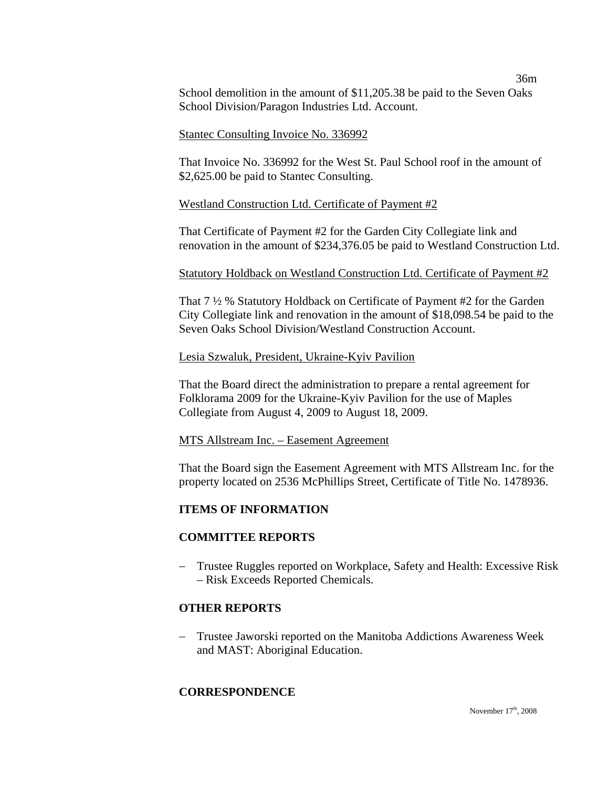36m School demolition in the amount of \$11,205.38 be paid to the Seven Oaks School Division/Paragon Industries Ltd. Account.

#### Stantec Consulting Invoice No. 336992

That Invoice No. 336992 for the West St. Paul School roof in the amount of \$2,625.00 be paid to Stantec Consulting.

### Westland Construction Ltd. Certificate of Payment #2

That Certificate of Payment #2 for the Garden City Collegiate link and renovation in the amount of \$234,376.05 be paid to Westland Construction Ltd.

### Statutory Holdback on Westland Construction Ltd. Certificate of Payment #2

That 7 ½ % Statutory Holdback on Certificate of Payment #2 for the Garden City Collegiate link and renovation in the amount of \$18,098.54 be paid to the Seven Oaks School Division/Westland Construction Account.

### Lesia Szwaluk, President, Ukraine-Kyiv Pavilion

That the Board direct the administration to prepare a rental agreement for Folklorama 2009 for the Ukraine-Kyiv Pavilion for the use of Maples Collegiate from August 4, 2009 to August 18, 2009.

#### MTS Allstream Inc. – Easement Agreement

That the Board sign the Easement Agreement with MTS Allstream Inc. for the property located on 2536 McPhillips Street, Certificate of Title No. 1478936.

## **ITEMS OF INFORMATION**

## **COMMITTEE REPORTS**

− Trustee Ruggles reported on Workplace, Safety and Health: Excessive Risk – Risk Exceeds Reported Chemicals.

## **OTHER REPORTS**

− Trustee Jaworski reported on the Manitoba Addictions Awareness Week and MAST: Aboriginal Education.

## **CORRESPONDENCE**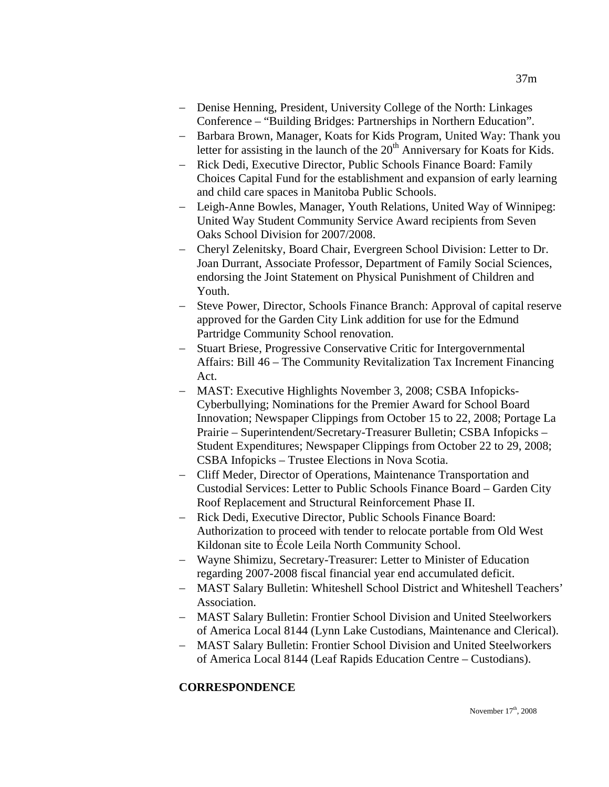- − Denise Henning, President, University College of the North: Linkages Conference – "Building Bridges: Partnerships in Northern Education".
- − Barbara Brown, Manager, Koats for Kids Program, United Way: Thank you letter for assisting in the launch of the  $20<sup>th</sup>$  Anniversary for Koats for Kids.
- − Rick Dedi, Executive Director, Public Schools Finance Board: Family Choices Capital Fund for the establishment and expansion of early learning and child care spaces in Manitoba Public Schools.
- − Leigh-Anne Bowles, Manager, Youth Relations, United Way of Winnipeg: United Way Student Community Service Award recipients from Seven Oaks School Division for 2007/2008.
- − Cheryl Zelenitsky, Board Chair, Evergreen School Division: Letter to Dr. Joan Durrant, Associate Professor, Department of Family Social Sciences, endorsing the Joint Statement on Physical Punishment of Children and Youth.
- − Steve Power, Director, Schools Finance Branch: Approval of capital reserve approved for the Garden City Link addition for use for the Edmund Partridge Community School renovation.
- − Stuart Briese, Progressive Conservative Critic for Intergovernmental Affairs: Bill 46 – The Community Revitalization Tax Increment Financing Act.
- − MAST: Executive Highlights November 3, 2008; CSBA Infopicks-Cyberbullying; Nominations for the Premier Award for School Board Innovation; Newspaper Clippings from October 15 to 22, 2008; Portage La Prairie – Superintendent/Secretary-Treasurer Bulletin; CSBA Infopicks – Student Expenditures; Newspaper Clippings from October 22 to 29, 2008; CSBA Infopicks – Trustee Elections in Nova Scotia.
- − Cliff Meder, Director of Operations, Maintenance Transportation and Custodial Services: Letter to Public Schools Finance Board – Garden City Roof Replacement and Structural Reinforcement Phase II.
- − Rick Dedi, Executive Director, Public Schools Finance Board: Authorization to proceed with tender to relocate portable from Old West Kildonan site to École Leila North Community School.
- − Wayne Shimizu, Secretary-Treasurer: Letter to Minister of Education regarding 2007-2008 fiscal financial year end accumulated deficit.
- − MAST Salary Bulletin: Whiteshell School District and Whiteshell Teachers' Association.
- − MAST Salary Bulletin: Frontier School Division and United Steelworkers of America Local 8144 (Lynn Lake Custodians, Maintenance and Clerical).
- − MAST Salary Bulletin: Frontier School Division and United Steelworkers of America Local 8144 (Leaf Rapids Education Centre – Custodians).

# **CORRESPONDENCE**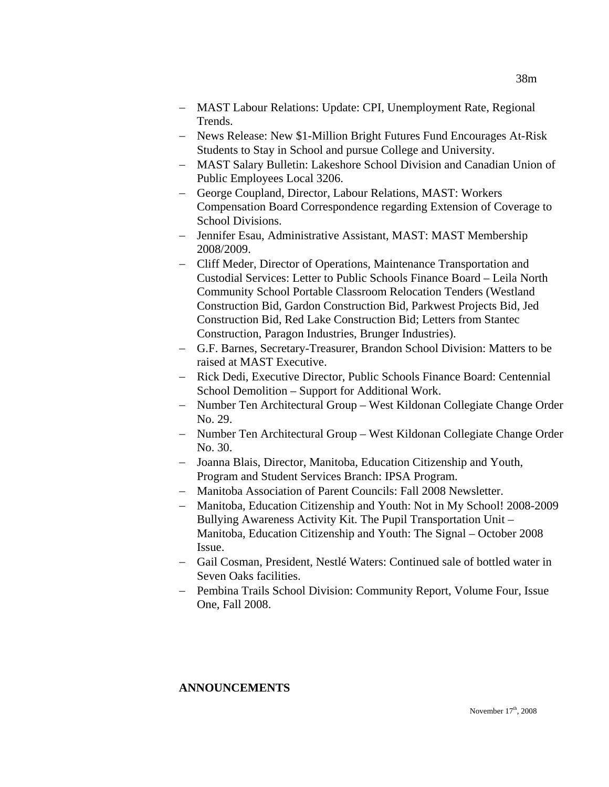- − MAST Labour Relations: Update: CPI, Unemployment Rate, Regional Trends.
- − News Release: New \$1-Million Bright Futures Fund Encourages At-Risk Students to Stay in School and pursue College and University.
- − MAST Salary Bulletin: Lakeshore School Division and Canadian Union of Public Employees Local 3206.
- − George Coupland, Director, Labour Relations, MAST: Workers Compensation Board Correspondence regarding Extension of Coverage to School Divisions.
- − Jennifer Esau, Administrative Assistant, MAST: MAST Membership 2008/2009.
- − Cliff Meder, Director of Operations, Maintenance Transportation and Custodial Services: Letter to Public Schools Finance Board – Leila North Community School Portable Classroom Relocation Tenders (Westland Construction Bid, Gardon Construction Bid, Parkwest Projects Bid, Jed Construction Bid, Red Lake Construction Bid; Letters from Stantec Construction, Paragon Industries, Brunger Industries).
- − G.F. Barnes, Secretary-Treasurer, Brandon School Division: Matters to be raised at MAST Executive.
- − Rick Dedi, Executive Director, Public Schools Finance Board: Centennial School Demolition – Support for Additional Work.
- − Number Ten Architectural Group West Kildonan Collegiate Change Order No. 29.
- − Number Ten Architectural Group West Kildonan Collegiate Change Order No. 30.
- − Joanna Blais, Director, Manitoba, Education Citizenship and Youth, Program and Student Services Branch: IPSA Program.
- − Manitoba Association of Parent Councils: Fall 2008 Newsletter.
- − Manitoba, Education Citizenship and Youth: Not in My School! 2008-2009 Bullying Awareness Activity Kit. The Pupil Transportation Unit – Manitoba, Education Citizenship and Youth: The Signal – October 2008 Issue.
- − Gail Cosman, President, Nestlé Waters: Continued sale of bottled water in Seven Oaks facilities.
- − Pembina Trails School Division: Community Report, Volume Four, Issue One, Fall 2008.

# **ANNOUNCEMENTS**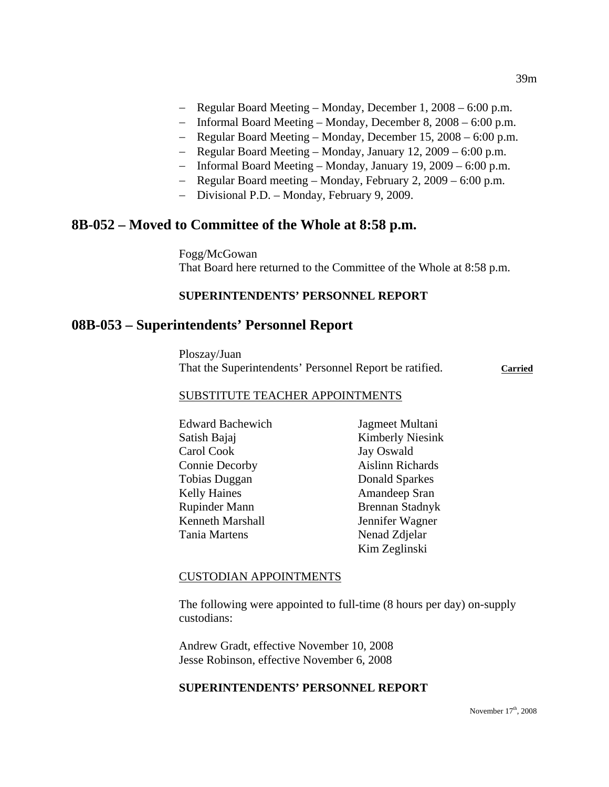- − Regular Board Meeting Monday, December 1, 2008 6:00 p.m.
- − Informal Board Meeting Monday, December 8, 2008 6:00 p.m.
- − Regular Board Meeting Monday, December 15, 2008 6:00 p.m.
- − Regular Board Meeting Monday, January 12, 2009 6:00 p.m.
- − Informal Board Meeting Monday, January 19, 2009 6:00 p.m.
- − Regular Board meeting Monday, February 2, 2009 6:00 p.m.
- − Divisional P.D. Monday, February 9, 2009.

# **8B-052 – Moved to Committee of the Whole at 8:58 p.m.**

Fogg/McGowan That Board here returned to the Committee of the Whole at 8:58 p.m.

### **SUPERINTENDENTS' PERSONNEL REPORT**

# **08B-053 – Superintendents' Personnel Report**

Ploszay/Juan That the Superintendents' Personnel Report be ratified. **Carried**

#### SUBSTITUTE TEACHER APPOINTMENTS

| <b>Edward Bachewich</b> | Jagmeet Multani         |
|-------------------------|-------------------------|
| Satish Bajaj            | <b>Kimberly Niesink</b> |
| Carol Cook              | Jay Oswald              |
| <b>Connie Decorby</b>   | <b>Aislinn Richards</b> |
| Tobias Duggan           | Donald Sparkes          |
| <b>Kelly Haines</b>     | Amandeep Sran           |
| <b>Rupinder Mann</b>    | <b>Brennan Stadnyk</b>  |
| Kenneth Marshall        | Jennifer Wagner         |
| Tania Martens           | Nenad Zdjelar           |
|                         | Kim Zeglinski           |

#### CUSTODIAN APPOINTMENTS

The following were appointed to full-time (8 hours per day) on-supply custodians:

Andrew Gradt, effective November 10, 2008 Jesse Robinson, effective November 6, 2008

#### **SUPERINTENDENTS' PERSONNEL REPORT**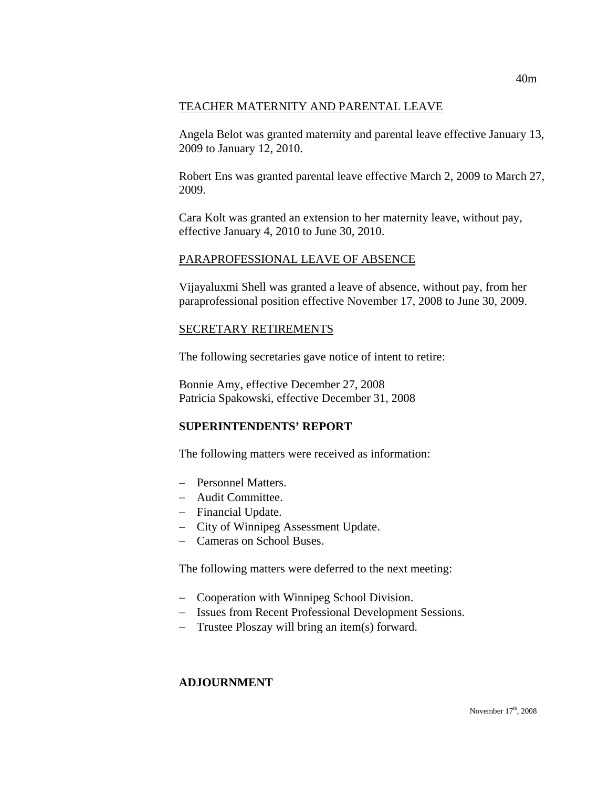### TEACHER MATERNITY AND PARENTAL LEAVE

Angela Belot was granted maternity and parental leave effective January 13, 2009 to January 12, 2010.

Robert Ens was granted parental leave effective March 2, 2009 to March 27, 2009.

Cara Kolt was granted an extension to her maternity leave, without pay, effective January 4, 2010 to June 30, 2010.

#### PARAPROFESSIONAL LEAVE OF ABSENCE

Vijayaluxmi Shell was granted a leave of absence, without pay, from her paraprofessional position effective November 17, 2008 to June 30, 2009.

#### SECRETARY RETIREMENTS

The following secretaries gave notice of intent to retire:

Bonnie Amy, effective December 27, 2008 Patricia Spakowski, effective December 31, 2008

## **SUPERINTENDENTS' REPORT**

The following matters were received as information:

- − Personnel Matters.
- − Audit Committee.
- − Financial Update.
- − City of Winnipeg Assessment Update.
- − Cameras on School Buses.

The following matters were deferred to the next meeting:

- − Cooperation with Winnipeg School Division.
- − Issues from Recent Professional Development Sessions.
- − Trustee Ploszay will bring an item(s) forward.

#### **ADJOURNMENT**